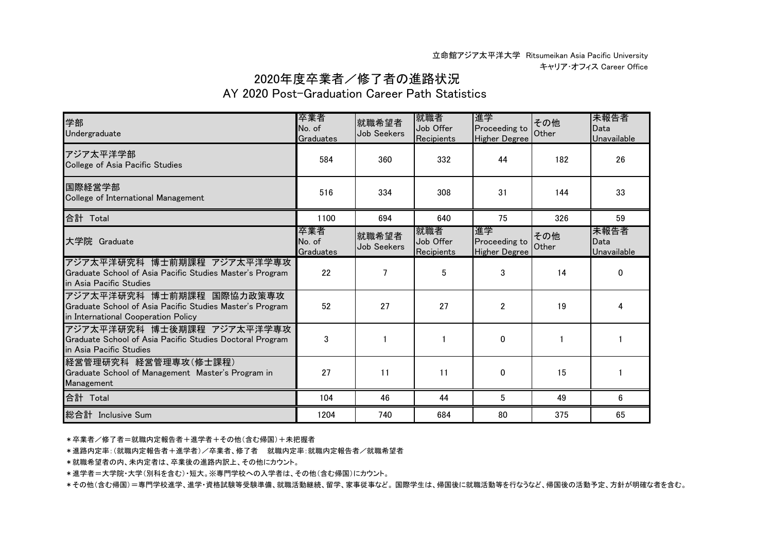## 2020年度卒業者/修了者の進路状況

## AY 2020 Post-Graduation Career Path Statistics

| 学部<br>Undergraduate                                                                                                          | 卒業者<br>No. of<br>Graduates | 就職希望者<br>Job Seekers | 就職者<br>Job Offer<br>Recipients | 進学<br>Proceeding to<br><b>Higher Degree</b> | その他<br>Other | 未報告者<br>Data<br>Unavailable |
|------------------------------------------------------------------------------------------------------------------------------|----------------------------|----------------------|--------------------------------|---------------------------------------------|--------------|-----------------------------|
| アジア太平洋学部<br>College of Asia Pacific Studies                                                                                  | 584                        | 360                  | 332                            | 44                                          | 182          | 26                          |
| 国際経営学部<br>College of International Management                                                                                | 516                        | 334                  | 308                            | 31                                          | 144          | 33                          |
| 合計 Total                                                                                                                     | 1100                       | 694                  | 640                            | 75                                          | 326          | 59                          |
| 大学院 Graduate                                                                                                                 | 卒業者<br>No. of<br>Graduates | 就職希望者<br>Job Seekers | 就職者<br>Job Offer<br>Recipients | 進学<br>Proceeding to<br><b>Higher Degree</b> | その他<br>Other | 未報告者<br>Data<br>Unavailable |
| アジア太平洋研究科 博士前期課程 アジア太平洋学専攻<br>Graduate School of Asia Pacific Studies Master's Program<br>in Asia Pacific Studies            | 22                         | 7                    | 5                              | 3                                           | 14           | $\Omega$                    |
| アジア太平洋研究科 博士前期課程 国際協力政策専攻<br>Graduate School of Asia Pacific Studies Master's Program<br>in International Cooperation Policy | 52                         | 27                   | 27                             | $\overline{2}$                              | 19           |                             |
| アジア太平洋研究科 博士後期課程 アジア太平洋学専攻<br>Graduate School of Asia Pacific Studies Doctoral Program<br>in Asia Pacific Studies            | 3                          |                      |                                | $\mathbf{0}$                                |              |                             |
| 経営管理研究科 経営管理専攻(修士課程)<br>Graduate School of Management Master's Program in<br>Management                                      | 27                         | 11                   | 11                             | $\mathbf{0}$                                | 15           |                             |
| 合計 Total                                                                                                                     | 104                        | 46                   | 44                             | 5                                           | 49           | 6                           |
| 総合計 Inclusive Sum                                                                                                            | 1204                       | 740                  | 684                            | 80                                          | 375          | 65                          |

\*卒業者/修了者=就職内定報告者+進学者+その他(含む帰国)+未把握者

\*進路内定率:(就職内定報告者+進学者)/卒業者、修了者 就職内定率:就職内定報告者/就職希望者

\*就職希望者の内、未内定者は、卒業後の進路内訳上、その他にカウント。

\*進学者=大学院・大学(別科を含む)・短大。※専門学校への入学者は、その他(含む帰国)にカウント。

\*その他(含む帰国)=専門学校進学、進学・資格試験等受験準備、就職活動継続、留学、家事従事など。 国際学生は、帰国後に就職活動等を行なうなど、帰国後の活動予定、方針が明確な者を含む。